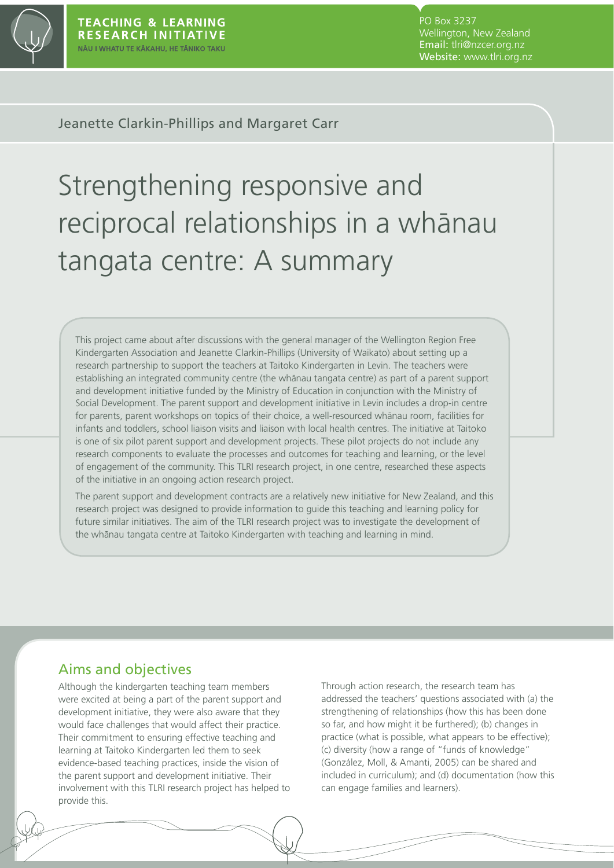

PO Box 3237 Wellington, New Zealand Email: tlri@nzcer.org.nz Website: www.tlri.org.nz

Jeanette Clarkin-Phillips and Margaret Carr

# Strengthening responsive and reciprocal relationships in a whānau tangata centre: A summary

This project came about after discussions with the general manager of the Wellington Region Free Kindergarten Association and Jeanette Clarkin-Phillips (University of Waikato) about setting up a research partnership to support the teachers at Taitoko Kindergarten in Levin. The teachers were establishing an integrated community centre (the whanau tangata centre) as part of a parent support and development initiative funded by the Ministry of Education in conjunction with the Ministry of Social Development. The parent support and development initiative in Levin includes a drop-in centre for parents, parent workshops on topics of their choice, a well-resourced whanau room, facilities for infants and toddlers, school liaison visits and liaison with local health centres. The initiative at Taitoko is one of six pilot parent support and development projects. These pilot projects do not include any research components to evaluate the processes and outcomes for teaching and learning, or the level of engagement of the community. This TLRI research project, in one centre, researched these aspects of the initiative in an ongoing action research project.

The parent support and development contracts are a relatively new initiative for New Zealand, and this research project was designed to provide information to guide this teaching and learning policy for future similar initiatives. The aim of the TLRI research project was to investigate the development of the whānau tangata centre at Taitoko Kindergarten with teaching and learning in mind.

## Aims and objectives

Although the kindergarten teaching team members were excited at being a part of the parent support and development initiative, they were also aware that they would face challenges that would affect their practice. Their commitment to ensuring effective teaching and learning at Taitoko Kindergarten led them to seek evidence-based teaching practices, inside the vision of the parent support and development initiative. Their involvement with this TLRI research project has helped to provide this.

Through action research, the research team has addressed the teachers' questions associated with (a) the strengthening of relationships (how this has been done so far, and how might it be furthered); (b) changes in practice (what is possible, what appears to be effective); (c) diversity (how a range of "funds of knowledge" (González, Moll, & Amanti, 2005) can be shared and included in curriculum); and (d) documentation (how this can engage families and learners).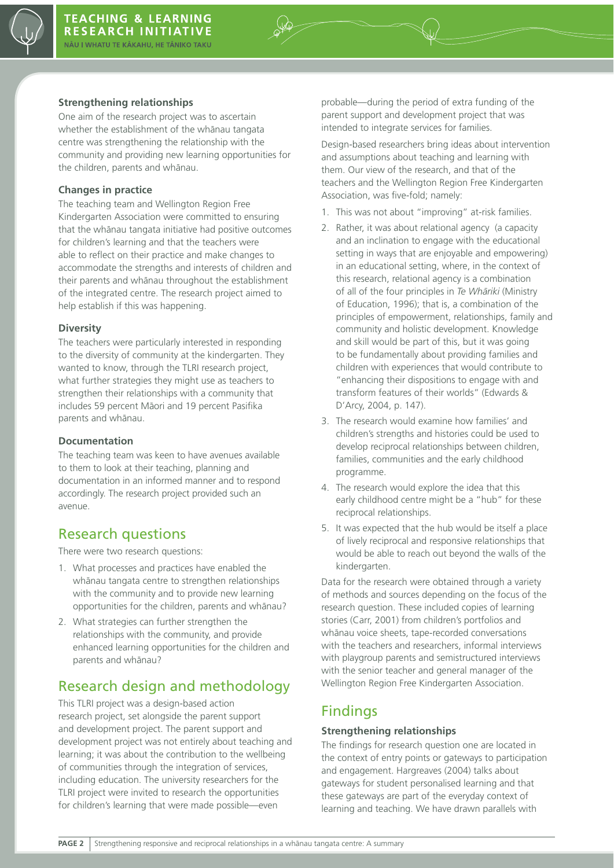

#### **Strengthening relationships**

One aim of the research project was to ascertain whether the establishment of the whanau tangata centre was strengthening the relationship with the community and providing new learning opportunities for the children, parents and whānau.

#### **Changes in practice**

The teaching team and Wellington Region Free Kindergarten Association were committed to ensuring that the whānau tangata initiative had positive outcomes for children's learning and that the teachers were able to reflect on their practice and make changes to accommodate the strengths and interests of children and their parents and whānau throughout the establishment of the integrated centre. The research project aimed to help establish if this was happening.

#### **Diversity**

The teachers were particularly interested in responding to the diversity of community at the kindergarten. They wanted to know, through the TLRI research project, what further strategies they might use as teachers to strengthen their relationships with a community that includes 59 percent Māori and 19 percent Pasifika parents and whānau.

#### **Documentation**

The teaching team was keen to have avenues available to them to look at their teaching, planning and documentation in an informed manner and to respond accordingly. The research project provided such an avenue.

# Research questions

There were two research questions:

- 1. What processes and practices have enabled the whānau tangata centre to strengthen relationships with the community and to provide new learning opportunities for the children, parents and whānau?
- 2. What strategies can further strengthen the relationships with the community, and provide enhanced learning opportunities for the children and parents and whānau?

# Research design and methodology

This TLRI project was a design-based action research project, set alongside the parent support and development project. The parent support and development project was not entirely about teaching and learning; it was about the contribution to the wellbeing of communities through the integration of services, including education. The university researchers for the TLRI project were invited to research the opportunities for children's learning that were made possible—even

probable—during the period of extra funding of the parent support and development project that was intended to integrate services for families.

Design-based researchers bring ideas about intervention and assumptions about teaching and learning with them. Our view of the research, and that of the teachers and the Wellington Region Free Kindergarten Association, was five-fold; namely:

- 1. This was not about "improving" at-risk families.
- 2. Rather, it was about relational agency (a capacity and an inclination to engage with the educational setting in ways that are enjoyable and empowering) in an educational setting, where, in the context of this research, relational agency is a combination of all of the four principles in *Te Whāriki* (Ministry of Education, 1996); that is, a combination of the principles of empowerment, relationships, family and community and holistic development. Knowledge and skill would be part of this, but it was going to be fundamentally about providing families and children with experiences that would contribute to "enhancing their dispositions to engage with and transform features of their worlds" (Edwards & D'Arcy, 2004, p. 147).
- 3. The research would examine how families' and children's strengths and histories could be used to develop reciprocal relationships between children, families, communities and the early childhood programme.
- 4. The research would explore the idea that this early childhood centre might be a "hub" for these reciprocal relationships.
- 5. It was expected that the hub would be itself a place of lively reciprocal and responsive relationships that would be able to reach out beyond the walls of the kindergarten.

Data for the research were obtained through a variety of methods and sources depending on the focus of the research question. These included copies of learning stories (Carr, 2001) from children's portfolios and whānau voice sheets, tape-recorded conversations with the teachers and researchers, informal interviews with playgroup parents and semistructured interviews with the senior teacher and general manager of the Wellington Region Free Kindergarten Association.

# Findings

#### **Strengthening relationships**

The findings for research question one are located in the context of entry points or gateways to participation and engagement. Hargreaves (2004) talks about gateways for student personalised learning and that these gateways are part of the everyday context of learning and teaching. We have drawn parallels with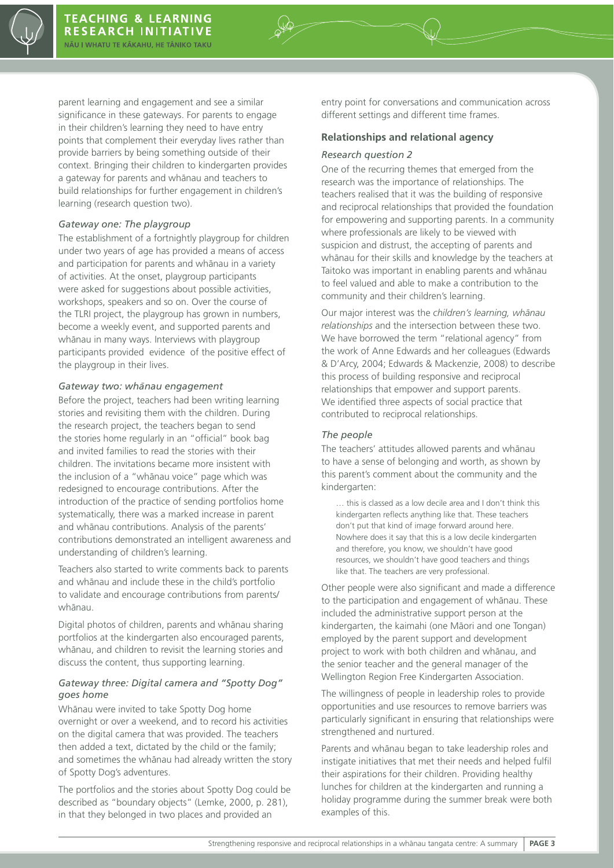parent learning and engagement and see a similar significance in these gateways. For parents to engage in their children's learning they need to have entry points that complement their everyday lives rather than provide barriers by being something outside of their context. Bringing their children to kindergarten provides a gateway for parents and whānau and teachers to build relationships for further engagement in children's learning (research question two).

#### *Gateway one: The playgroup*

The establishment of a fortnightly playgroup for children under two years of age has provided a means of access and participation for parents and whanau in a variety of activities. At the onset, playgroup participants were asked for suggestions about possible activities, workshops, speakers and so on. Over the course of the TLRI project, the playgroup has grown in numbers, become a weekly event, and supported parents and whānau in many ways. Interviews with playgroup participants provided evidence of the positive effect of the playgroup in their lives.

#### Gateway two: whanau engagement

Before the project, teachers had been writing learning stories and revisiting them with the children. During the research project, the teachers began to send the stories home regularly in an "official" book bag and invited families to read the stories with their children. The invitations became more insistent with the inclusion of a "whānau voice" page which was redesigned to encourage contributions. After the introduction of the practice of sending portfolios home systematically, there was a marked increase in parent and whānau contributions. Analysis of the parents' contributions demonstrated an intelligent awareness and understanding of children's learning.

Teachers also started to write comments back to parents and whānau and include these in the child's portfolio to validate and encourage contributions from parents/ whānau.

Digital photos of children, parents and whanau sharing portfolios at the kindergarten also encouraged parents, whānau, and children to revisit the learning stories and discuss the content, thus supporting learning.

#### *Gateway three: Digital camera and "Spotty Dog" goes home*

Whānau were invited to take Spotty Dog home overnight or over a weekend, and to record his activities on the digital camera that was provided. The teachers then added a text, dictated by the child or the family; and sometimes the whānau had already written the story of Spotty Dog's adventures.

The portfolios and the stories about Spotty Dog could be described as "boundary objects" (Lemke, 2000, p. 281), in that they belonged in two places and provided an

entry point for conversations and communication across different settings and different time frames.

#### **Relationships and relational agency**

#### *Research question 2*

One of the recurring themes that emerged from the research was the importance of relationships. The teachers realised that it was the building of responsive and reciprocal relationships that provided the foundation for empowering and supporting parents. In a community where professionals are likely to be viewed with suspicion and distrust, the accepting of parents and whānau for their skills and knowledge by the teachers at Taitoko was important in enabling parents and whānau to feel valued and able to make a contribution to the community and their children's learning.

Our major interest was the *children's learning, whānau relationships* and the intersection between these two. We have borrowed the term "relational agency" from the work of Anne Edwards and her colleagues (Edwards & D'Arcy, 2004; Edwards & Mackenzie, 2008) to describe this process of building responsive and reciprocal relationships that empower and support parents. We identified three aspects of social practice that contributed to reciprocal relationships.

#### *The people*

The teachers' attitudes allowed parents and whanau to have a sense of belonging and worth, as shown by this parent's comment about the community and the kindergarten:

… this is classed as a low decile area and I don't think this kindergarten reflects anything like that. These teachers don't put that kind of image forward around here. Nowhere does it say that this is a low decile kindergarten and therefore, you know, we shouldn't have good resources, we shouldn't have good teachers and things like that. The teachers are very professional.

Other people were also significant and made a difference to the participation and engagement of whanau. These included the administrative support person at the kindergarten, the kaimahi (one Māori and one Tongan) employed by the parent support and development project to work with both children and whanau, and the senior teacher and the general manager of the Wellington Region Free Kindergarten Association.

The willingness of people in leadership roles to provide opportunities and use resources to remove barriers was particularly significant in ensuring that relationships were strengthened and nurtured.

Parents and whānau began to take leadership roles and instigate initiatives that met their needs and helped fulfil their aspirations for their children. Providing healthy lunches for children at the kindergarten and running a holiday programme during the summer break were both examples of this.